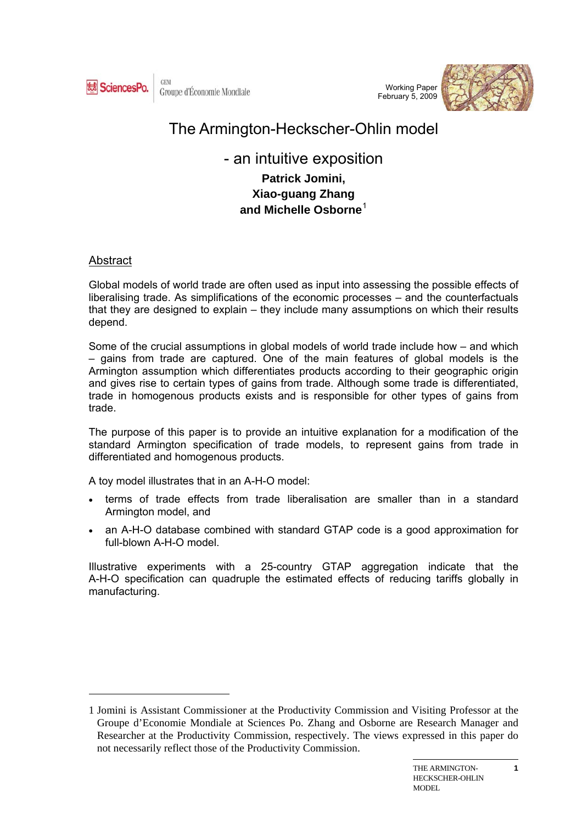

Working Paper February 5, 2009



# The Armington-Heckscher-Ohlin model

# - an intuitive exposition

**Patrick Jomini, Xiao-guang Zhang and Michelle Osborne**[1](#page-0-0)

# Abstract

 $\overline{a}$ 

Global models of world trade are often used as input into assessing the possible effects of liberalising trade. As simplifications of the economic processes – and the counterfactuals that they are designed to explain – they include many assumptions on which their results depend.

Some of the crucial assumptions in global models of world trade include how – and which – gains from trade are captured. One of the main features of global models is the Armington assumption which differentiates products according to their geographic origin and gives rise to certain types of gains from trade. Although some trade is differentiated, trade in homogenous products exists and is responsible for other types of gains from trade.

The purpose of this paper is to provide an intuitive explanation for a modification of the standard Armington specification of trade models, to represent gains from trade in differentiated and homogenous products.

A toy model illustrates that in an A-H-O model:

- terms of trade effects from trade liberalisation are smaller than in a standard Armington model, and
- an A-H-O database combined with standard GTAP code is a good approximation for full-blown A-H-O model.

Illustrative experiments with a 25-country GTAP aggregation indicate that the A-H-O specification can quadruple the estimated effects of reducing tariffs globally in manufacturing.

<span id="page-0-0"></span><sup>1</sup> Jomini is Assistant Commissioner at the Productivity Commission and Visiting Professor at the Groupe d'Economie Mondiale at Sciences Po. Zhang and Osborne are Research Manager and Researcher at the Productivity Commission, respectively. The views expressed in this paper do not necessarily reflect those of the Productivity Commission.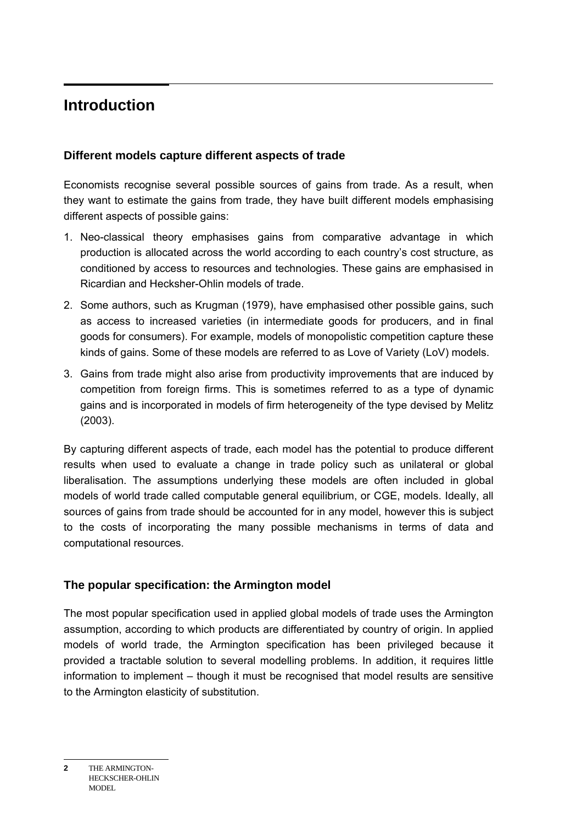#### $\overline{a}$ **Introduction**

### **Different models capture different aspects of trade**

Economists recognise several possible sources of gains from trade. As a result, when they want to estimate the gains from trade, they have built different models emphasising different aspects of possible gains:

- 1. Neo-classical theory emphasises gains from comparative advantage in which production is allocated across the world according to each country's cost structure, as conditioned by access to resources and technologies. These gains are emphasised in Ricardian and Hecksher-Ohlin models of trade.
- 2. Some authors, such as Krugman (1979), have emphasised other possible gains, such as access to increased varieties (in intermediate goods for producers, and in final goods for consumers). For example, models of monopolistic competition capture these kinds of gains. Some of these models are referred to as Love of Variety (LoV) models.
- 3. Gains from trade might also arise from productivity improvements that are induced by competition from foreign firms. This is sometimes referred to as a type of dynamic gains and is incorporated in models of firm heterogeneity of the type devised by Melitz (2003).

By capturing different aspects of trade, each model has the potential to produce different results when used to evaluate a change in trade policy such as unilateral or global liberalisation. The assumptions underlying these models are often included in global models of world trade called computable general equilibrium, or CGE, models. Ideally, all sources of gains from trade should be accounted for in any model, however this is subject to the costs of incorporating the many possible mechanisms in terms of data and computational resources.

#### **The popular specification: the Armington model**

The most popular specification used in applied global models of trade uses the Armington assumption, according to which products are differentiated by country of origin. In applied models of world trade, the Armington specification has been privileged because it provided a tractable solution to several modelling problems. In addition, it requires little information to implement – though it must be recognised that model results are sensitive to the Armington elasticity of substitution.

**<sup>2</sup>** THE ARMINGTON-HECKSCHER-OHLIN MODEL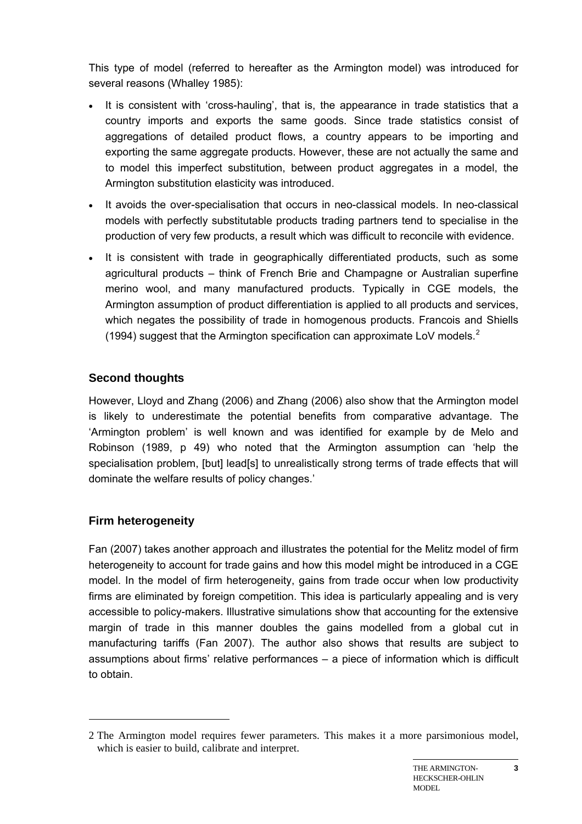This type of model (referred to hereafter as the Armington model) was introduced for several reasons (Whalley 1985):

- It is consistent with 'cross-hauling', that is, the appearance in trade statistics that a country imports and exports the same goods. Since trade statistics consist of aggregations of detailed product flows, a country appears to be importing and exporting the same aggregate products. However, these are not actually the same and to model this imperfect substitution, between product aggregates in a model, the Armington substitution elasticity was introduced.
- It avoids the over-specialisation that occurs in neo-classical models. In neo-classical models with perfectly substitutable products trading partners tend to specialise in the production of very few products, a result which was difficult to reconcile with evidence.
- It is consistent with trade in geographically differentiated products, such as some agricultural products – think of French Brie and Champagne or Australian superfine merino wool, and many manufactured products. Typically in CGE models, the Armington assumption of product differentiation is applied to all products and services, which negates the possibility of trade in homogenous products. Francois and Shiells (1994) suggest that the Armington specification can approximate LoV models. $^2$  $^2$

# **Second thoughts**

However, Lloyd and Zhang (2006) and Zhang (2006) also show that the Armington model is likely to underestimate the potential benefits from comparative advantage. The 'Armington problem' is well known and was identified for example by de Melo and Robinson (1989, p 49) who noted that the Armington assumption can 'help the specialisation problem, [but] lead[s] to unrealistically strong terms of trade effects that will dominate the welfare results of policy changes.'

# **Firm heterogeneity**

 $\overline{a}$ 

Fan (2007) takes another approach and illustrates the potential for the Melitz model of firm heterogeneity to account for trade gains and how this model might be introduced in a CGE model. In the model of firm heterogeneity, gains from trade occur when low productivity firms are eliminated by foreign competition. This idea is particularly appealing and is very accessible to policy-makers. Illustrative simulations show that accounting for the extensive margin of trade in this manner doubles the gains modelled from a global cut in manufacturing tariffs (Fan 2007). The author also shows that results are subject to assumptions about firms' relative performances – a piece of information which is difficult to obtain.

<span id="page-2-0"></span><sup>2</sup> The Armington model requires fewer parameters. This makes it a more parsimonious model, which is easier to build, calibrate and interpret.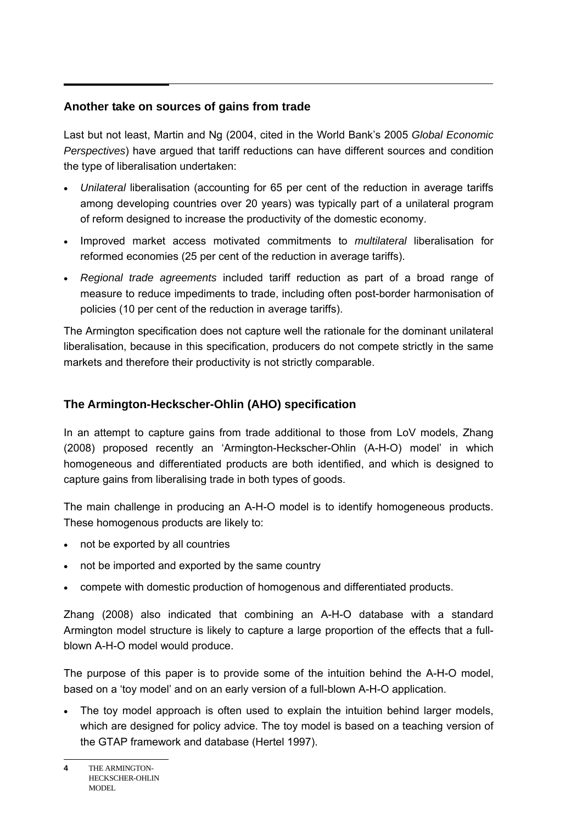### **Another take on sources of gains from trade**

Last but not least, Martin and Ng (2004, cited in the World Bank's 2005 *Global Economic Perspectives*) have argued that tariff reductions can have different sources and condition the type of liberalisation undertaken:

- *Unilateral* liberalisation (accounting for 65 per cent of the reduction in average tariffs among developing countries over 20 years) was typically part of a unilateral program of reform designed to increase the productivity of the domestic economy.
- Improved market access motivated commitments to *multilateral* liberalisation for reformed economies (25 per cent of the reduction in average tariffs).
- *Regional trade agreements* included tariff reduction as part of a broad range of measure to reduce impediments to trade, including often post-border harmonisation of policies (10 per cent of the reduction in average tariffs).

The Armington specification does not capture well the rationale for the dominant unilateral liberalisation, because in this specification, producers do not compete strictly in the same markets and therefore their productivity is not strictly comparable.

# **The Armington-Heckscher-Ohlin (AHO) specification**

In an attempt to capture gains from trade additional to those from LoV models, Zhang (2008) proposed recently an 'Armington-Heckscher-Ohlin (A-H-O) model' in which homogeneous and differentiated products are both identified, and which is designed to capture gains from liberalising trade in both types of goods.

The main challenge in producing an A-H-O model is to identify homogeneous products. These homogenous products are likely to:

- not be exported by all countries
- not be imported and exported by the same country
- compete with domestic production of homogenous and differentiated products.

Zhang (2008) also indicated that combining an A-H-O database with a standard Armington model structure is likely to capture a large proportion of the effects that a fullblown A-H-O model would produce.

The purpose of this paper is to provide some of the intuition behind the A-H-O model, based on a 'toy model' and on an early version of a full-blown A-H-O application.

• The toy model approach is often used to explain the intuition behind larger models, which are designed for policy advice. The toy model is based on a teaching version of the GTAP framework and database (Hertel 1997).

**<sup>4</sup>** THE ARMINGTON-HECKSCHER-OHLIN MODEL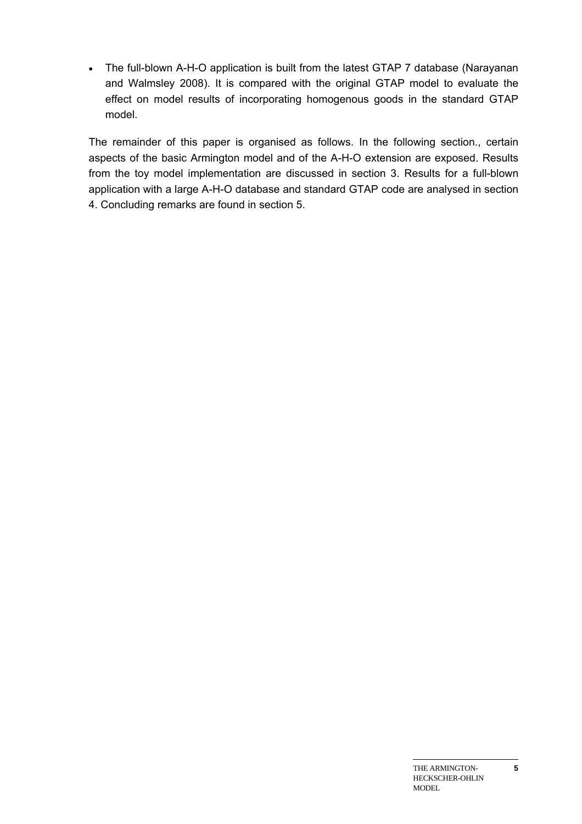• The full-blown A-H-O application is built from the latest GTAP 7 database (Narayanan and Walmsley 2008). It is compared with the original GTAP model to evaluate the effect on model results of incorporating homogenous goods in the standard GTAP model.

The remainder of this paper is organised as follows. In the following section., certain aspects of the basic Armington model and of the A-H-O extension are exposed. Results from the toy model implementation are discussed in section 3. Results for a full-blown application with a large A-H-O database and standard GTAP code are analysed in section 4. Concluding remarks are found in section 5.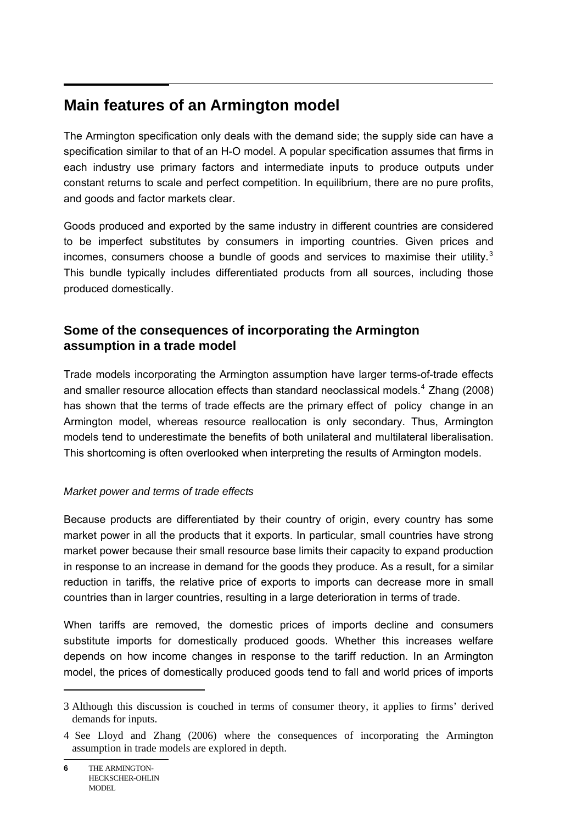#### $\overline{a}$ **Main features of an Armington model**

The Armington specification only deals with the demand side; the supply side can have a specification similar to that of an H-O model. A popular specification assumes that firms in each industry use primary factors and intermediate inputs to produce outputs under constant returns to scale and perfect competition. In equilibrium, there are no pure profits, and goods and factor markets clear.

Goods produced and exported by the same industry in different countries are considered to be imperfect substitutes by consumers in importing countries. Given prices and incomes, consumers choose a bundle of goods and services to maximise their utility. $3$ This bundle typically includes differentiated products from all sources, including those produced domestically.

# **Some of the consequences of incorporating the Armington assumption in a trade model**

Trade models incorporating the Armington assumption have larger terms-of-trade effects and smaller resource allocation effects than standard neoclassical models. $4$  Zhang (2008) has shown that the terms of trade effects are the primary effect of policy change in an Armington model, whereas resource reallocation is only secondary. Thus, Armington models tend to underestimate the benefits of both unilateral and multilateral liberalisation. This shortcoming is often overlooked when interpreting the results of Armington models.

# *Market power and terms of trade effects*

Because products are differentiated by their country of origin, every country has some market power in all the products that it exports. In particular, small countries have strong market power because their small resource base limits their capacity to expand production in response to an increase in demand for the goods they produce. As a result, for a similar reduction in tariffs, the relative price of exports to imports can decrease more in small countries than in larger countries, resulting in a large deterioration in terms of trade.

When tariffs are removed, the domestic prices of imports decline and consumers substitute imports for domestically produced goods. Whether this increases welfare depends on how income changes in response to the tariff reduction. In an Armington model, the prices of domestically produced goods tend to fall and world prices of imports

<span id="page-5-0"></span><sup>3</sup> Although this discussion is couched in terms of consumer theory, it applies to firms' derived demands for inputs.

<span id="page-5-1"></span><sup>4</sup> See Lloyd and Zhang (2006) where the consequences of incorporating the Armington assumption in trade models are explored in depth.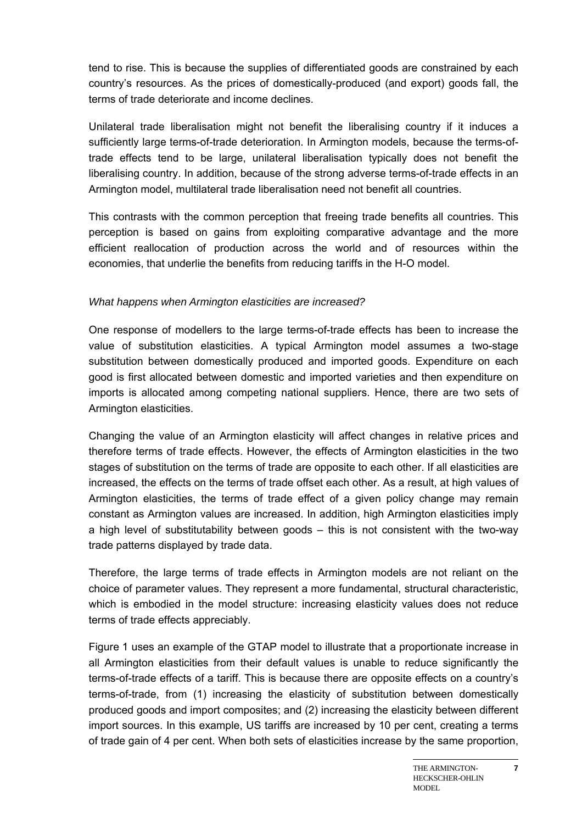tend to rise. This is because the supplies of differentiated goods are constrained by each country's resources. As the prices of domestically-produced (and export) goods fall, the terms of trade deteriorate and income declines.

Unilateral trade liberalisation might not benefit the liberalising country if it induces a sufficiently large terms-of-trade deterioration. In Armington models, because the terms-oftrade effects tend to be large, unilateral liberalisation typically does not benefit the liberalising country. In addition, because of the strong adverse terms-of-trade effects in an Armington model, multilateral trade liberalisation need not benefit all countries.

This contrasts with the common perception that freeing trade benefits all countries. This perception is based on gains from exploiting comparative advantage and the more efficient reallocation of production across the world and of resources within the economies, that underlie the benefits from reducing tariffs in the H-O model.

#### *What happens when Armington elasticities are increased?*

One response of modellers to the large terms-of-trade effects has been to increase the value of substitution elasticities. A typical Armington model assumes a two-stage substitution between domestically produced and imported goods. Expenditure on each good is first allocated between domestic and imported varieties and then expenditure on imports is allocated among competing national suppliers. Hence, there are two sets of Armington elasticities.

Changing the value of an Armington elasticity will affect changes in relative prices and therefore terms of trade effects. However, the effects of Armington elasticities in the two stages of substitution on the terms of trade are opposite to each other. If all elasticities are increased, the effects on the terms of trade offset each other. As a result, at high values of Armington elasticities, the terms of trade effect of a given policy change may remain constant as Armington values are increased. In addition, high Armington elasticities imply a high level of substitutability between goods – this is not consistent with the two-way trade patterns displayed by trade data.

Therefore, the large terms of trade effects in Armington models are not reliant on the choice of parameter values. They represent a more fundamental, structural characteristic, which is embodied in the model structure: increasing elasticity values does not reduce terms of trade effects appreciably.

Figure 1 uses an example of the GTAP model to illustrate that a proportionate increase in all Armington elasticities from their default values is unable to reduce significantly the terms-of-trade effects of a tariff. This is because there are opposite effects on a country's terms-of-trade, from (1) increasing the elasticity of substitution between domestically produced goods and import composites; and (2) increasing the elasticity between different import sources. In this example, US tariffs are increased by 10 per cent, creating a terms of trade gain of 4 per cent. When both sets of elasticities increase by the same proportion,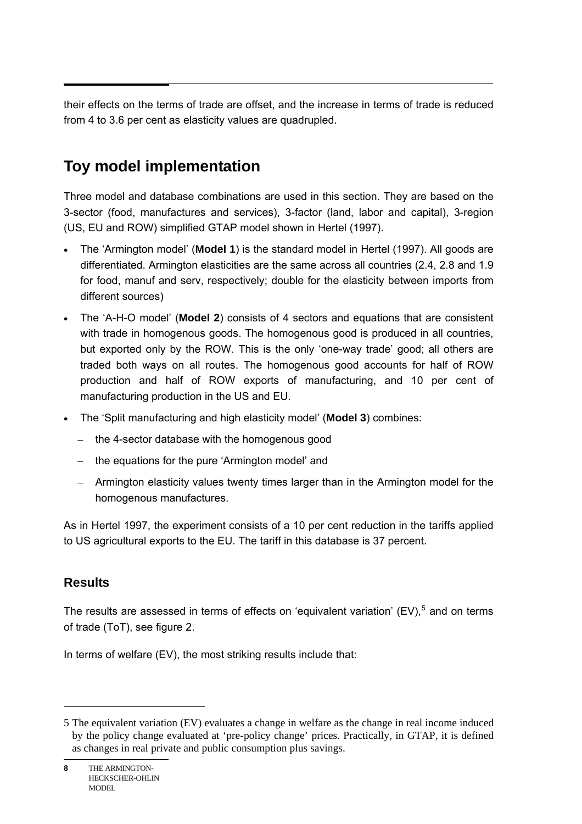their effects on the terms of trade are offset, and the increase in terms of trade is reduced from 4 to 3.6 per cent as elasticity values are quadrupled.

# **Toy model implementation**

Three model and database combinations are used in this section. They are based on the 3-sector (food, manufactures and services), 3-factor (land, labor and capital), 3-region (US, EU and ROW) simplified GTAP model shown in Hertel (1997).

- The 'Armington model' (**Model 1**) is the standard model in Hertel (1997). All goods are differentiated. Armington elasticities are the same across all countries (2.4, 2.8 and 1.9 for food, manuf and serv, respectively; double for the elasticity between imports from different sources)
- The 'A-H-O model' (**Model 2**) consists of 4 sectors and equations that are consistent with trade in homogenous goods. The homogenous good is produced in all countries, but exported only by the ROW. This is the only 'one-way trade' good; all others are traded both ways on all routes. The homogenous good accounts for half of ROW production and half of ROW exports of manufacturing, and 10 per cent of manufacturing production in the US and EU.
- The 'Split manufacturing and high elasticity model' (**Model 3**) combines:
	- the 4-sector database with the homogenous good
	- the equations for the pure 'Armington model' and
	- Armington elasticity values twenty times larger than in the Armington model for the homogenous manufactures.

As in Hertel 1997, the experiment consists of a 10 per cent reduction in the tariffs applied to US agricultural exports to the EU. The tariff in this database is 37 percent.

# **Results**

l

The results are assessed in terms of effects on 'equivalent variation' (EV), $<sup>5</sup>$  $<sup>5</sup>$  $<sup>5</sup>$  and on terms</sup> of trade (ToT), see figure 2.

In terms of welfare (EV), the most striking results include that:

<span id="page-7-0"></span><sup>5</sup> The equivalent variation (EV) evaluates a change in welfare as the change in real income induced by the policy change evaluated at 'pre-policy change' prices. Practically, in GTAP, it is defined as changes in real private and public consumption plus savings.

**<sup>8</sup>** THE ARMINGTON-HECKSCHER-OHLIN MODEL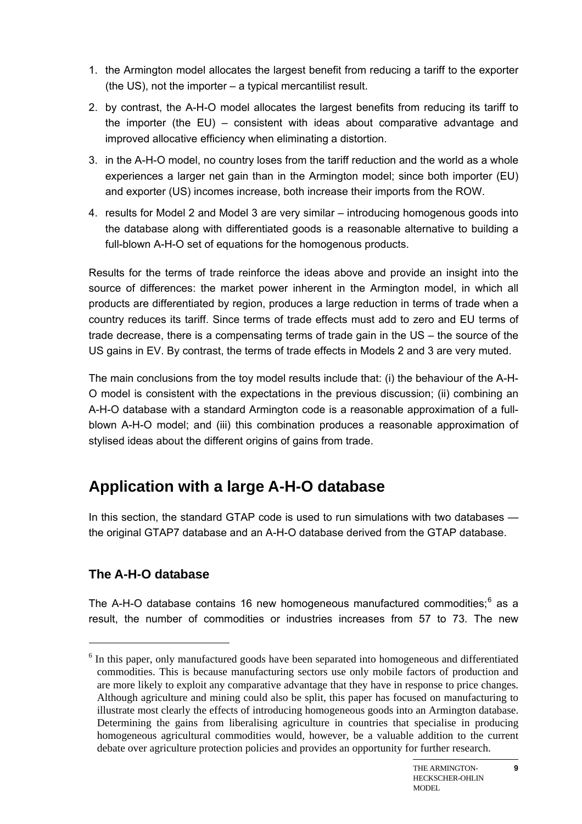- 1. the Armington model allocates the largest benefit from reducing a tariff to the exporter (the US), not the importer – a typical mercantilist result.
- 2. by contrast, the A-H-O model allocates the largest benefits from reducing its tariff to the importer (the EU) – consistent with ideas about comparative advantage and improved allocative efficiency when eliminating a distortion.
- 3. in the A-H-O model, no country loses from the tariff reduction and the world as a whole experiences a larger net gain than in the Armington model; since both importer (EU) and exporter (US) incomes increase, both increase their imports from the ROW.
- 4. results for Model 2 and Model 3 are very similar introducing homogenous goods into the database along with differentiated goods is a reasonable alternative to building a full-blown A-H-O set of equations for the homogenous products.

Results for the terms of trade reinforce the ideas above and provide an insight into the source of differences: the market power inherent in the Armington model, in which all products are differentiated by region, produces a large reduction in terms of trade when a country reduces its tariff. Since terms of trade effects must add to zero and EU terms of trade decrease, there is a compensating terms of trade gain in the US – the source of the US gains in EV. By contrast, the terms of trade effects in Models 2 and 3 are very muted.

The main conclusions from the toy model results include that: (i) the behaviour of the A-H-O model is consistent with the expectations in the previous discussion; (ii) combining an A-H-O database with a standard Armington code is a reasonable approximation of a fullblown A-H-O model; and (iii) this combination produces a reasonable approximation of stylised ideas about the different origins of gains from trade.

# **Application with a large A-H-O database**

In this section, the standard GTAP code is used to run simulations with two databases the original GTAP7 database and an A-H-O database derived from the GTAP database.

# **The A-H-O database**

 $\overline{a}$ 

The A-H-O database contains 1[6](#page-8-0) new homogeneous manufactured commodities; $^6$  as a result, the number of commodities or industries increases from 57 to 73. The new

**9**

<span id="page-8-0"></span><sup>&</sup>lt;sup>6</sup> In this paper, only manufactured goods have been separated into homogeneous and differentiated commodities. This is because manufacturing sectors use only mobile factors of production and are more likely to exploit any comparative advantage that they have in response to price changes. Although agriculture and mining could also be split, this paper has focused on manufacturing to illustrate most clearly the effects of introducing homogeneous goods into an Armington database. Determining the gains from liberalising agriculture in countries that specialise in producing homogeneous agricultural commodities would, however, be a valuable addition to the current debate over agriculture protection policies and provides an opportunity for further research.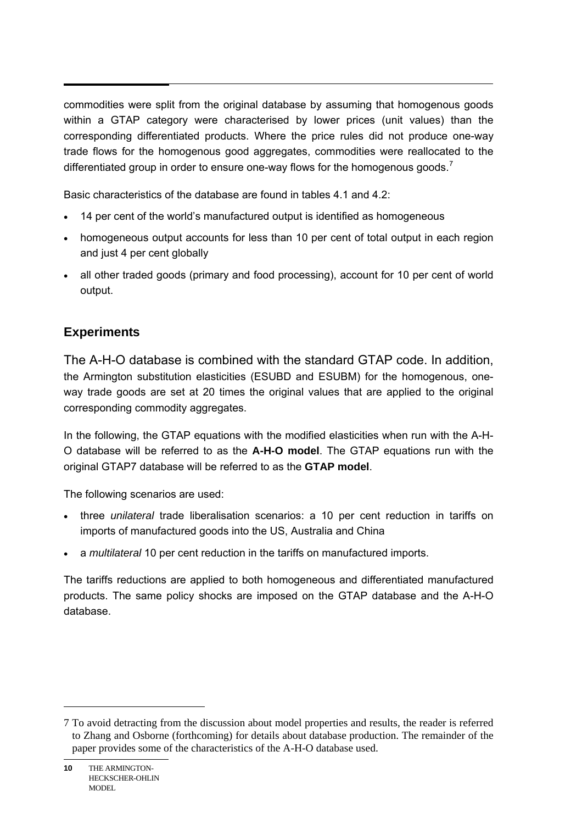commodities were split from the original database by assuming that homogenous goods within a GTAP category were characterised by lower prices (unit values) than the corresponding differentiated products. Where the price rules did not produce one-way trade flows for the homogenous good aggregates, commodities were reallocated to the differentiated group in order to ensure one-way flows for the homogenous goods.<sup>[7](#page-9-0)</sup>

Basic characteristics of the database are found in tables 4.1 and 4.2:

- 14 per cent of the world's manufactured output is identified as homogeneous
- homogeneous output accounts for less than 10 per cent of total output in each region and just 4 per cent globally
- all other traded goods (primary and food processing), account for 10 per cent of world output.

# **Experiments**

The A-H-O database is combined with the standard GTAP code. In addition, the Armington substitution elasticities (ESUBD and ESUBM) for the homogenous, oneway trade goods are set at 20 times the original values that are applied to the original corresponding commodity aggregates.

In the following, the GTAP equations with the modified elasticities when run with the A-H-O database will be referred to as the **A-H-O model**. The GTAP equations run with the original GTAP7 database will be referred to as the **GTAP model**.

The following scenarios are used:

- three *unilateral* trade liberalisation scenarios: a 10 per cent reduction in tariffs on imports of manufactured goods into the US, Australia and China
- a *multilateral* 10 per cent reduction in the tariffs on manufactured imports.

The tariffs reductions are applied to both homogeneous and differentiated manufactured products. The same policy shocks are imposed on the GTAP database and the A-H-O database.

l

<span id="page-9-0"></span><sup>7</sup> To avoid detracting from the discussion about model properties and results, the reader is referred to Zhang and Osborne (forthcoming) for details about database production. The remainder of the paper provides some of the characteristics of the A-H-O database used.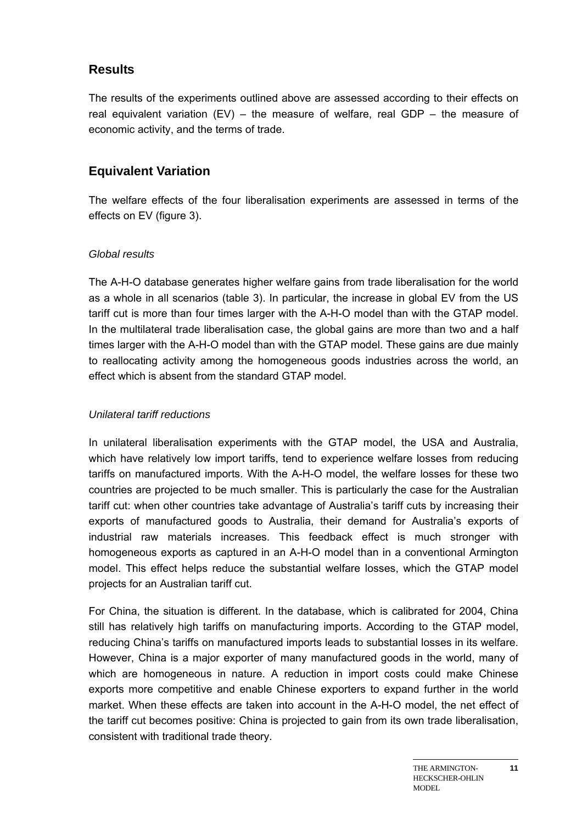# **Results**

The results of the experiments outlined above are assessed according to their effects on real equivalent variation  $(EV)$  – the measure of welfare, real GDP – the measure of economic activity, and the terms of trade.

# **Equivalent Variation**

The welfare effects of the four liberalisation experiments are assessed in terms of the effects on EV (figure 3).

#### *Global results*

The A-H-O database generates higher welfare gains from trade liberalisation for the world as a whole in all scenarios (table 3). In particular, the increase in global EV from the US tariff cut is more than four times larger with the A-H-O model than with the GTAP model. In the multilateral trade liberalisation case, the global gains are more than two and a half times larger with the A-H-O model than with the GTAP model. These gains are due mainly to reallocating activity among the homogeneous goods industries across the world, an effect which is absent from the standard GTAP model.

### *Unilateral tariff reductions*

In unilateral liberalisation experiments with the GTAP model, the USA and Australia, which have relatively low import tariffs, tend to experience welfare losses from reducing tariffs on manufactured imports. With the A-H-O model, the welfare losses for these two countries are projected to be much smaller. This is particularly the case for the Australian tariff cut: when other countries take advantage of Australia's tariff cuts by increasing their exports of manufactured goods to Australia, their demand for Australia's exports of industrial raw materials increases. This feedback effect is much stronger with homogeneous exports as captured in an A-H-O model than in a conventional Armington model. This effect helps reduce the substantial welfare losses, which the GTAP model projects for an Australian tariff cut.

For China, the situation is different. In the database, which is calibrated for 2004, China still has relatively high tariffs on manufacturing imports. According to the GTAP model, reducing China's tariffs on manufactured imports leads to substantial losses in its welfare. However, China is a major exporter of many manufactured goods in the world, many of which are homogeneous in nature. A reduction in import costs could make Chinese exports more competitive and enable Chinese exporters to expand further in the world market. When these effects are taken into account in the A-H-O model, the net effect of the tariff cut becomes positive: China is projected to gain from its own trade liberalisation, consistent with traditional trade theory.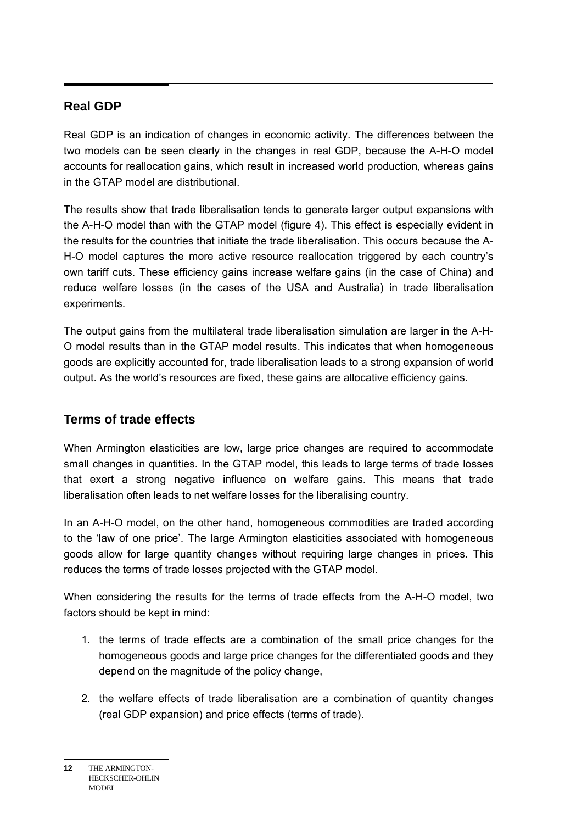# **Real GDP**

Real GDP is an indication of changes in economic activity. The differences between the two models can be seen clearly in the changes in real GDP, because the A-H-O model accounts for reallocation gains, which result in increased world production, whereas gains in the GTAP model are distributional.

The results show that trade liberalisation tends to generate larger output expansions with the A-H-O model than with the GTAP model (figure 4). This effect is especially evident in the results for the countries that initiate the trade liberalisation. This occurs because the A-H-O model captures the more active resource reallocation triggered by each country's own tariff cuts. These efficiency gains increase welfare gains (in the case of China) and reduce welfare losses (in the cases of the USA and Australia) in trade liberalisation experiments.

The output gains from the multilateral trade liberalisation simulation are larger in the A-H-O model results than in the GTAP model results. This indicates that when homogeneous goods are explicitly accounted for, trade liberalisation leads to a strong expansion of world output. As the world's resources are fixed, these gains are allocative efficiency gains.

# **Terms of trade effects**

When Armington elasticities are low, large price changes are required to accommodate small changes in quantities. In the GTAP model, this leads to large terms of trade losses that exert a strong negative influence on welfare gains. This means that trade liberalisation often leads to net welfare losses for the liberalising country.

In an A-H-O model, on the other hand, homogeneous commodities are traded according to the 'law of one price'. The large Armington elasticities associated with homogeneous goods allow for large quantity changes without requiring large changes in prices. This reduces the terms of trade losses projected with the GTAP model.

When considering the results for the terms of trade effects from the A-H-O model, two factors should be kept in mind:

- 1. the terms of trade effects are a combination of the small price changes for the homogeneous goods and large price changes for the differentiated goods and they depend on the magnitude of the policy change,
- 2. the welfare effects of trade liberalisation are a combination of quantity changes (real GDP expansion) and price effects (terms of trade).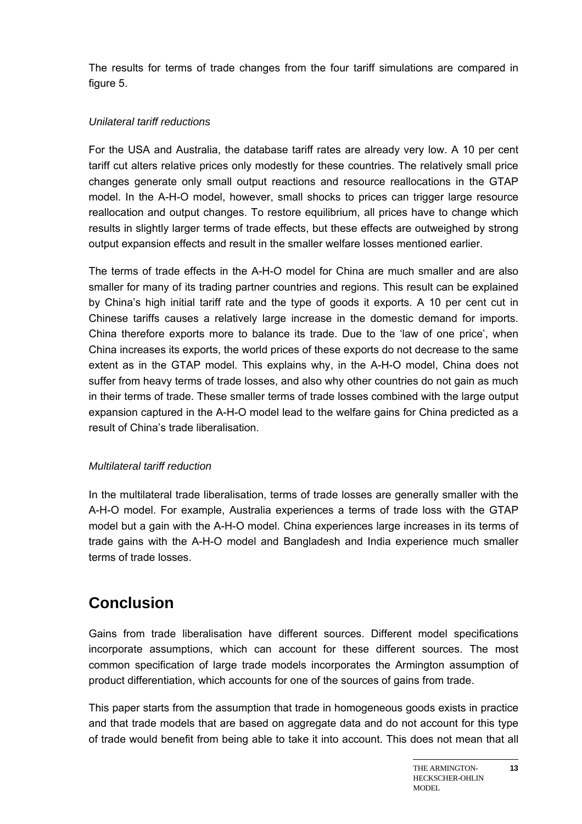The results for terms of trade changes from the four tariff simulations are compared in figure 5.

#### *Unilateral tariff reductions*

For the USA and Australia, the database tariff rates are already very low. A 10 per cent tariff cut alters relative prices only modestly for these countries. The relatively small price changes generate only small output reactions and resource reallocations in the GTAP model. In the A-H-O model, however, small shocks to prices can trigger large resource reallocation and output changes. To restore equilibrium, all prices have to change which results in slightly larger terms of trade effects, but these effects are outweighed by strong output expansion effects and result in the smaller welfare losses mentioned earlier.

The terms of trade effects in the A-H-O model for China are much smaller and are also smaller for many of its trading partner countries and regions. This result can be explained by China's high initial tariff rate and the type of goods it exports. A 10 per cent cut in Chinese tariffs causes a relatively large increase in the domestic demand for imports. China therefore exports more to balance its trade. Due to the 'law of one price', when China increases its exports, the world prices of these exports do not decrease to the same extent as in the GTAP model. This explains why, in the A-H-O model, China does not suffer from heavy terms of trade losses, and also why other countries do not gain as much in their terms of trade. These smaller terms of trade losses combined with the large output expansion captured in the A-H-O model lead to the welfare gains for China predicted as a result of China's trade liberalisation.

# *Multilateral tariff reduction*

In the multilateral trade liberalisation, terms of trade losses are generally smaller with the A-H-O model. For example, Australia experiences a terms of trade loss with the GTAP model but a gain with the A-H-O model. China experiences large increases in its terms of trade gains with the A-H-O model and Bangladesh and India experience much smaller terms of trade losses.

# **Conclusion**

Gains from trade liberalisation have different sources. Different model specifications incorporate assumptions, which can account for these different sources. The most common specification of large trade models incorporates the Armington assumption of product differentiation, which accounts for one of the sources of gains from trade.

This paper starts from the assumption that trade in homogeneous goods exists in practice and that trade models that are based on aggregate data and do not account for this type of trade would benefit from being able to take it into account. This does not mean that all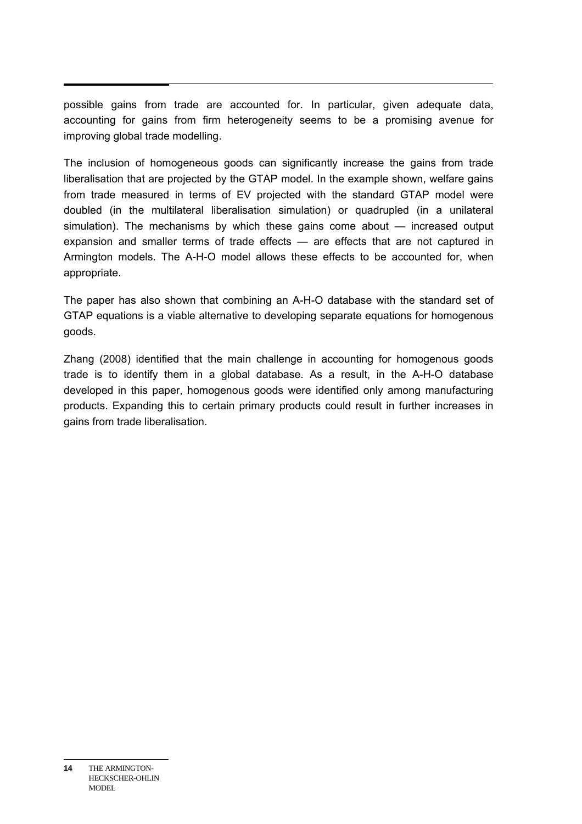possible gains from trade are accounted for. In particular, given adequate data, accounting for gains from firm heterogeneity seems to be a promising avenue for improving global trade modelling.

The inclusion of homogeneous goods can significantly increase the gains from trade liberalisation that are projected by the GTAP model. In the example shown, welfare gains from trade measured in terms of EV projected with the standard GTAP model were doubled (in the multilateral liberalisation simulation) or quadrupled (in a unilateral simulation). The mechanisms by which these gains come about — increased output expansion and smaller terms of trade effects — are effects that are not captured in Armington models. The A-H-O model allows these effects to be accounted for, when appropriate.

The paper has also shown that combining an A-H-O database with the standard set of GTAP equations is a viable alternative to developing separate equations for homogenous goods.

Zhang (2008) identified that the main challenge in accounting for homogenous goods trade is to identify them in a global database. As a result, in the A-H-O database developed in this paper, homogenous goods were identified only among manufacturing products. Expanding this to certain primary products could result in further increases in gains from trade liberalisation.

**<sup>14</sup>** THE ARMINGTON-HECKSCHER-OHLIN MODEL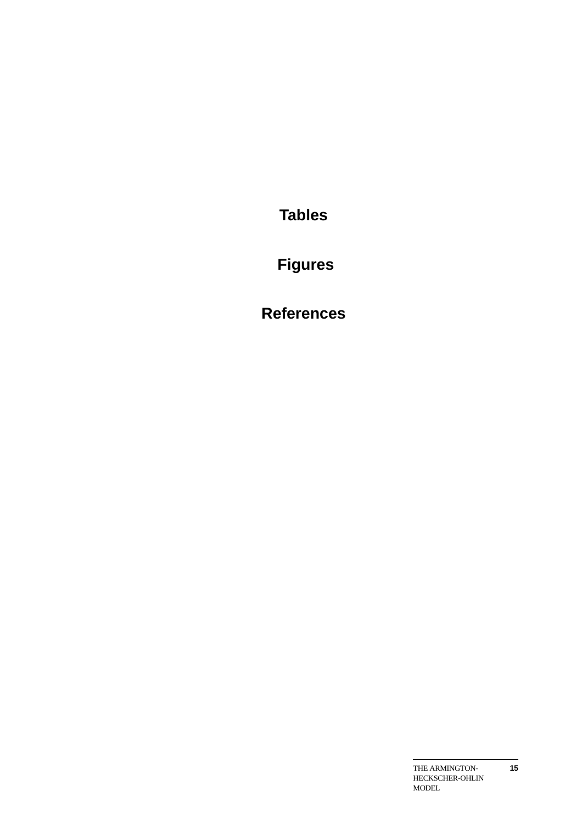**Tables** 

 **Figures** 

**References**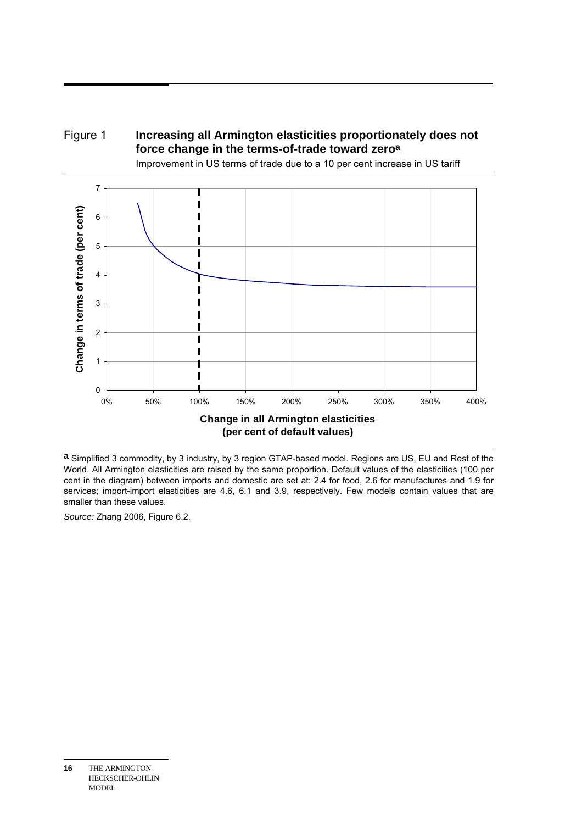

Improvement in US terms of trade due to a 10 per cent increase in US tariff



**a** Simplified 3 commodity, by 3 industry, by 3 region GTAP-based model. Regions are US, EU and Rest of the World. All Armington elasticities are raised by the same proportion. Default values of the elasticities (100 per cent in the diagram) between imports and domestic are set at: 2.4 for food, 2.6 for manufactures and 1.9 for services; import-import elasticities are 4.6, 6.1 and 3.9, respectively. Few models contain values that are smaller than these values.

*Source:* Zhang 2006, Figure 6.2.

**<sup>16</sup>** THE ARMINGTON-HECKSCHER-OHLIN MODEL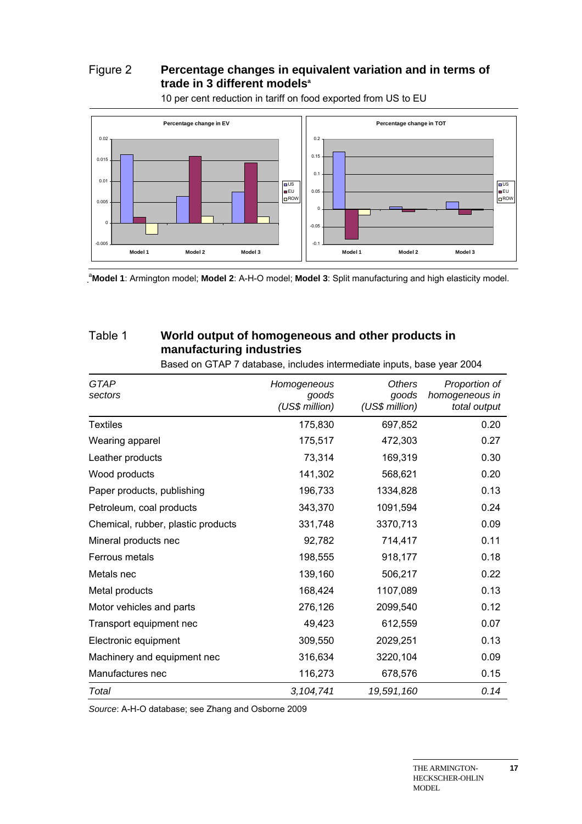# Figure 2 **Percentage changes in equivalent variation and in terms of**  trade in 3 different models<sup>a</sup>



10 per cent reduction in tariff on food exported from US to EU

a **Model 1**: Armington model; **Model 2**: A-H-O model; **Model 3**: Split manufacturing and high elasticity model.

# Table 1 **World output of homogeneous and other products in manufacturing industries**

Based on GTAP 7 database, includes intermediate inputs, base year 2004

| GTAP<br>sectors                    | Homogeneous<br>goods<br>(US\$ million) | <b>Others</b><br>goods<br>(US\$ million) | Proportion of<br>homogeneous in<br>total output |
|------------------------------------|----------------------------------------|------------------------------------------|-------------------------------------------------|
| <b>Textiles</b>                    | 175,830                                | 697,852                                  | 0.20                                            |
| Wearing apparel                    | 175,517                                | 472,303                                  | 0.27                                            |
| Leather products                   | 73,314                                 | 169,319                                  | 0.30                                            |
| Wood products                      | 141,302                                | 568,621                                  | 0.20                                            |
| Paper products, publishing         | 196,733                                | 1334,828                                 | 0.13                                            |
| Petroleum, coal products           | 343,370                                | 1091,594                                 | 0.24                                            |
| Chemical, rubber, plastic products | 331,748                                | 3370,713                                 | 0.09                                            |
| Mineral products nec               | 92,782                                 | 714,417                                  | 0.11                                            |
| Ferrous metals                     | 198,555                                | 918,177                                  | 0.18                                            |
| Metals nec                         | 139,160                                | 506,217                                  | 0.22                                            |
| Metal products                     | 168,424                                | 1107,089                                 | 0.13                                            |
| Motor vehicles and parts           | 276,126                                | 2099,540                                 | 0.12                                            |
| Transport equipment nec            | 49,423                                 | 612,559                                  | 0.07                                            |
| Electronic equipment               | 309,550                                | 2029,251                                 | 0.13                                            |
| Machinery and equipment nec        | 316,634                                | 3220,104                                 | 0.09                                            |
| Manufactures nec                   | 116,273                                | 678,576                                  | 0.15                                            |
| Total                              | 3, 104, 741                            | 19,591,160                               | 0.14                                            |

*Source*: A-H-O database; see Zhang and Osborne 2009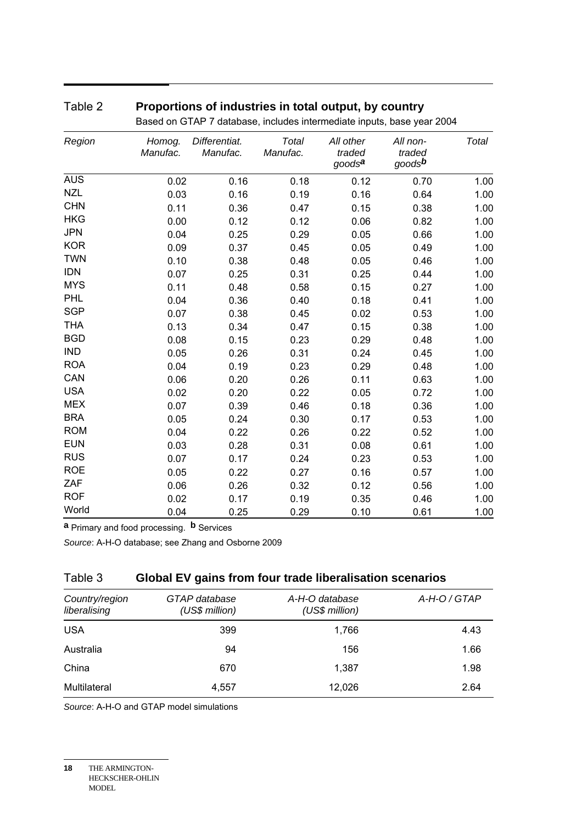# Table 2 **Proportions of industries in total output, by country**

| Region     | Homog.<br>Manufac. | Differentiat.<br>Manufac. | Total<br>Manufac. | All other<br>traded<br>goods <sup>a</sup> | All non-<br>traded<br>goods <sup>b</sup> | Total |
|------------|--------------------|---------------------------|-------------------|-------------------------------------------|------------------------------------------|-------|
| <b>AUS</b> | 0.02               | 0.16                      | 0.18              | 0.12                                      | 0.70                                     | 1.00  |
| <b>NZL</b> | 0.03               | 0.16                      | 0.19              | 0.16                                      | 0.64                                     | 1.00  |
| <b>CHN</b> | 0.11               | 0.36                      | 0.47              | 0.15                                      | 0.38                                     | 1.00  |
| <b>HKG</b> | 0.00               | 0.12                      | 0.12              | 0.06                                      | 0.82                                     | 1.00  |
| <b>JPN</b> | 0.04               | 0.25                      | 0.29              | 0.05                                      | 0.66                                     | 1.00  |
| <b>KOR</b> | 0.09               | 0.37                      | 0.45              | 0.05                                      | 0.49                                     | 1.00  |
| <b>TWN</b> | 0.10               | 0.38                      | 0.48              | 0.05                                      | 0.46                                     | 1.00  |
| <b>IDN</b> | 0.07               | 0.25                      | 0.31              | 0.25                                      | 0.44                                     | 1.00  |
| <b>MYS</b> | 0.11               | 0.48                      | 0.58              | 0.15                                      | 0.27                                     | 1.00  |
| <b>PHL</b> | 0.04               | 0.36                      | 0.40              | 0.18                                      | 0.41                                     | 1.00  |
| <b>SGP</b> | 0.07               | 0.38                      | 0.45              | 0.02                                      | 0.53                                     | 1.00  |
| <b>THA</b> | 0.13               | 0.34                      | 0.47              | 0.15                                      | 0.38                                     | 1.00  |
| <b>BGD</b> | 0.08               | 0.15                      | 0.23              | 0.29                                      | 0.48                                     | 1.00  |
| <b>IND</b> | 0.05               | 0.26                      | 0.31              | 0.24                                      | 0.45                                     | 1.00  |
| <b>ROA</b> | 0.04               | 0.19                      | 0.23              | 0.29                                      | 0.48                                     | 1.00  |
| CAN        | 0.06               | 0.20                      | 0.26              | 0.11                                      | 0.63                                     | 1.00  |
| <b>USA</b> | 0.02               | 0.20                      | 0.22              | 0.05                                      | 0.72                                     | 1.00  |
| <b>MEX</b> | 0.07               | 0.39                      | 0.46              | 0.18                                      | 0.36                                     | 1.00  |
| <b>BRA</b> | 0.05               | 0.24                      | 0.30              | 0.17                                      | 0.53                                     | 1.00  |
| <b>ROM</b> | 0.04               | 0.22                      | 0.26              | 0.22                                      | 0.52                                     | 1.00  |
| <b>EUN</b> | 0.03               | 0.28                      | 0.31              | 0.08                                      | 0.61                                     | 1.00  |
| <b>RUS</b> | 0.07               | 0.17                      | 0.24              | 0.23                                      | 0.53                                     | 1.00  |
| <b>ROE</b> | 0.05               | 0.22                      | 0.27              | 0.16                                      | 0.57                                     | 1.00  |
| ZAF        | 0.06               | 0.26                      | 0.32              | 0.12                                      | 0.56                                     | 1.00  |
| <b>ROF</b> | 0.02               | 0.17                      | 0.19              | 0.35                                      | 0.46                                     | 1.00  |
| World      | 0.04               | 0.25                      | 0.29              | 0.10                                      | 0.61                                     | 1.00  |

Based on GTAP 7 database, includes intermediate inputs, base year 2004

**a** Primary and food processing. **b** Services

*Source*: A-H-O database; see Zhang and Osborne 2009

# Table 3 **Global EV gains from four trade liberalisation scenarios**

| Country/region<br>liberalising | GTAP database<br>(US\$ million) | A-H-O database<br>(US\$ million) | A-H-O / GTAP |
|--------------------------------|---------------------------------|----------------------------------|--------------|
| <b>USA</b>                     | 399                             | 1,766                            | 4.43         |
| Australia                      | 94                              | 156                              | 1.66         |
| China                          | 670                             | 1.387                            | 1.98         |
| Multilateral                   | 4,557                           | 12,026                           | 2.64         |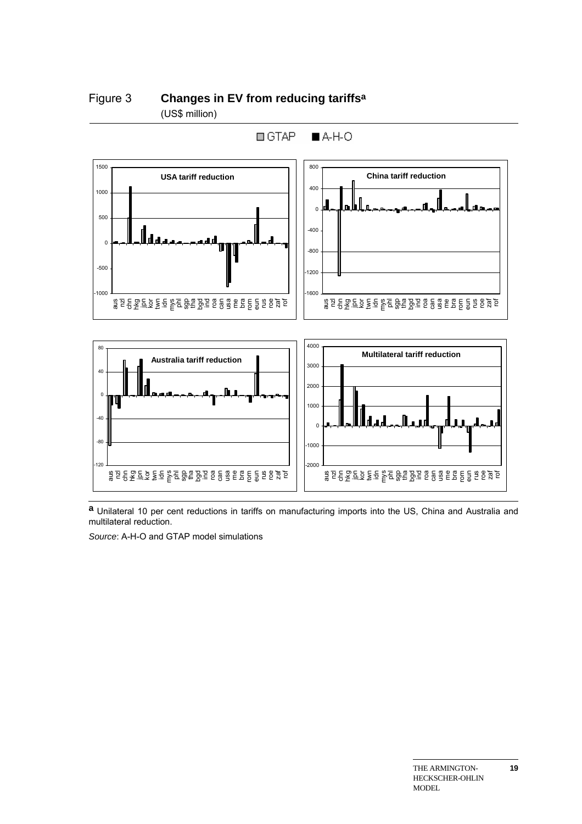#### Figure 3 **Changes in EV from reducing tariffsa** (US\$ million)



 $\Box$  GTAP  $A-H-O$ 

**a** Unilateral 10 per cent reductions in tariffs on manufacturing imports into the US, China and Australia and multilateral reduction.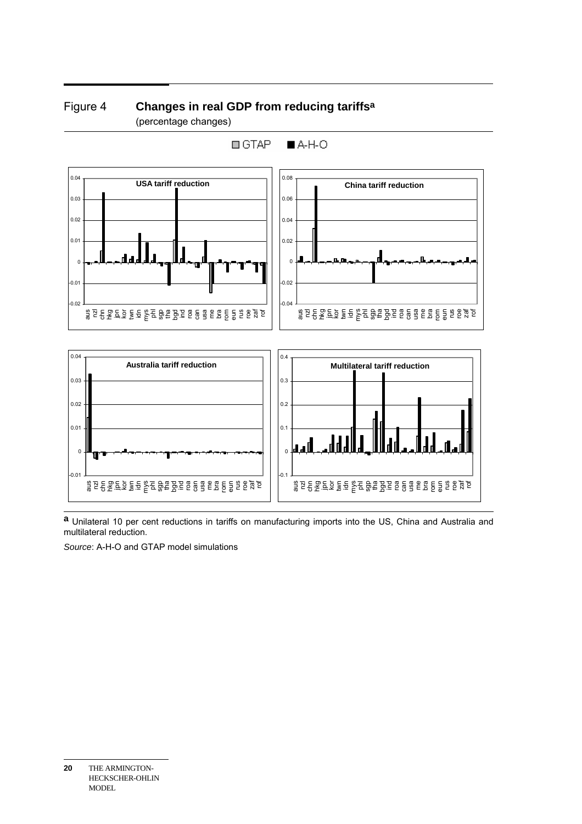# Figure 4 **Changes in real GDP from reducing tariffsa** (percentage changes)



**a** Unilateral 10 per cent reductions in tariffs on manufacturing imports into the US, China and Australia and multilateral reduction.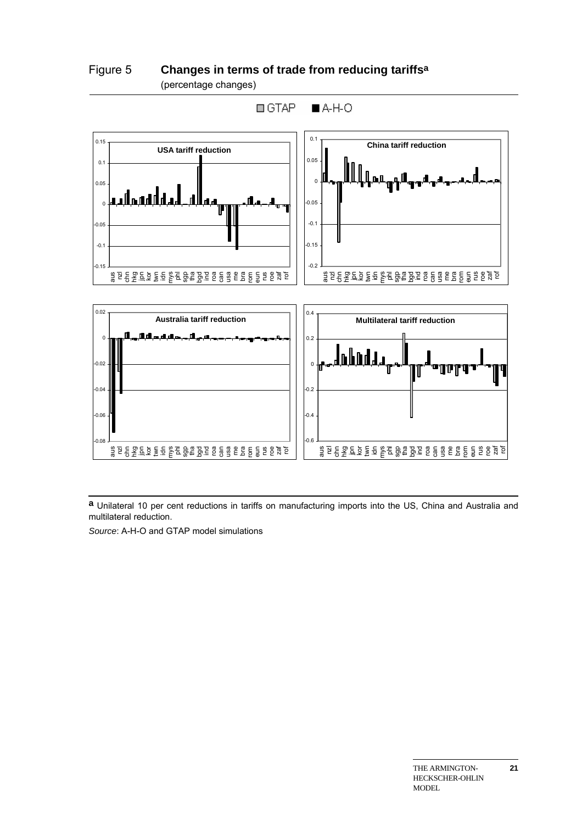

Figure 5 **Changes in terms of trade from reducing tariffsa** (percentage changes)

**a** Unilateral 10 per cent reductions in tariffs on manufacturing imports into the US, China and Australia and multilateral reduction.